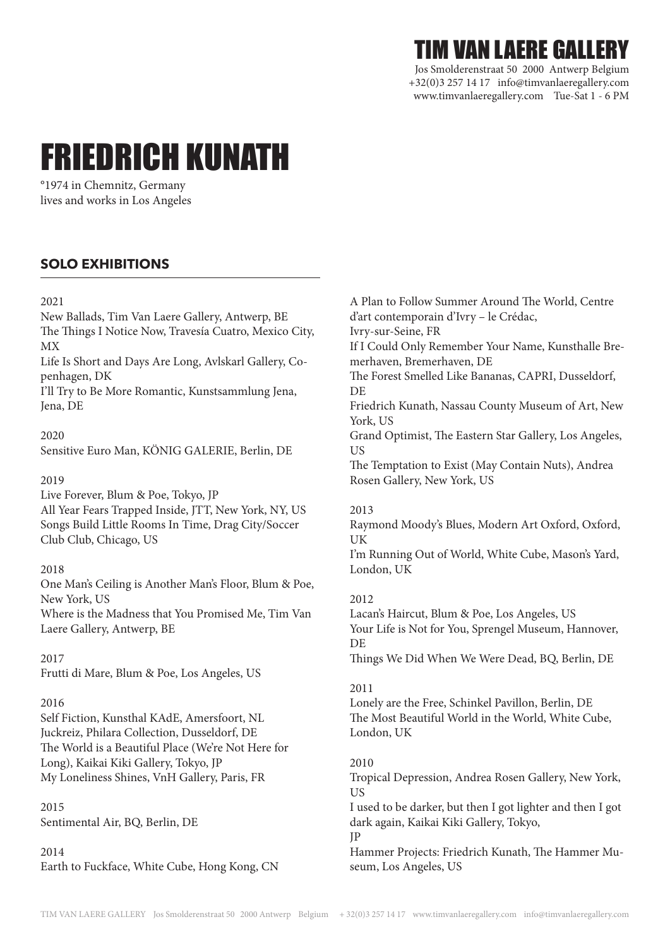# TIM VAN LAERE GALLERY

Jos Smolderenstraat 50 2000 Antwerp Belgium +32(0)3 257 14 17 info@timvanlaeregallery.com www.timvanlaeregallery.com Tue-Sat 1 - 6 PM

# FRIEDRICH KUNATH

°1974 in Chemnitz, Germany lives and works in Los Angeles

# **SOLO EXHIBITIONS**

#### 2021

New Ballads, Tim Van Laere Gallery, Antwerp, BE The Things I Notice Now, Travesía Cuatro, Mexico City, MX

Life Is Short and Days Are Long, Avlskarl Gallery, Copenhagen, DK

I'll Try to Be More Romantic, Kunstsammlung Jena, Jena, DE

#### 2020

Sensitive Euro Man, KÖNIG GALERIE, Berlin, DE

#### 2019

Live Forever, Blum & Poe, Tokyo, JP All Year Fears Trapped Inside, JTT, New York, NY, US Songs Build Little Rooms In Time, Drag City/Soccer Club Club, Chicago, US

#### 2018

One Man's Ceiling is Another Man's Floor, Blum & Poe, New York, US Where is the Madness that You Promised Me, Tim Van Laere Gallery, Antwerp, BE

2017

Frutti di Mare, Blum & Poe, Los Angeles, US

#### 2016

Self Fiction, Kunsthal KAdE, Amersfoort, NL Juckreiz, Philara Collection, Dusseldorf, DE The World is a Beautiful Place (We're Not Here for Long), Kaikai Kiki Gallery, Tokyo, JP My Loneliness Shines, VnH Gallery, Paris, FR

#### 2015

Sentimental Air, BQ, Berlin, DE

2014

Earth to Fuckface, White Cube, Hong Kong, CN

A Plan to Follow Summer Around The World, Centre d'art contemporain d'Ivry – le Crédac, Ivry-sur-Seine, FR If I Could Only Remember Your Name, Kunsthalle Bremerhaven, Bremerhaven, DE The Forest Smelled Like Bananas, CAPRI, Dusseldorf, DE Friedrich Kunath, Nassau County Museum of Art, New York, US Grand Optimist, The Eastern Star Gallery, Los Angeles, US The Temptation to Exist (May Contain Nuts), Andrea Rosen Gallery, New York, US

#### 2013

Raymond Moody's Blues, Modern Art Oxford, Oxford, UK

I'm Running Out of World, White Cube, Mason's Yard, London, UK

#### 2012

Lacan's Haircut, Blum & Poe, Los Angeles, US Your Life is Not for You, Sprengel Museum, Hannover, **DE** 

Things We Did When We Were Dead, BQ, Berlin, DE

#### 2011

Lonely are the Free, Schinkel Pavillon, Berlin, DE The Most Beautiful World in the World, White Cube, London, UK

#### 2010

Tropical Depression, Andrea Rosen Gallery, New York, US

I used to be darker, but then I got lighter and then I got dark again, Kaikai Kiki Gallery, Tokyo,

JP

Hammer Projects: Friedrich Kunath, The Hammer Museum, Los Angeles, US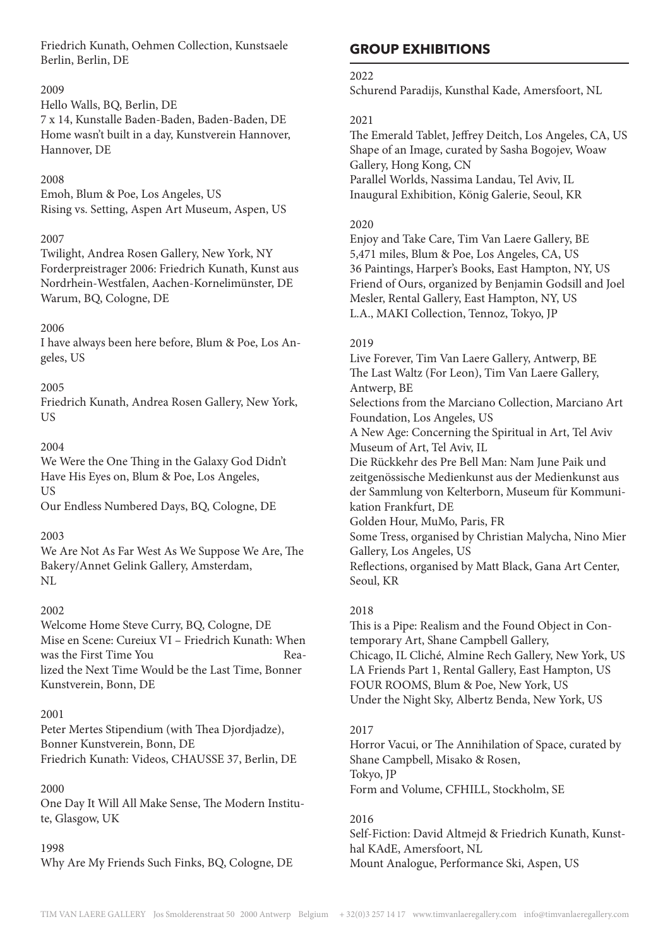Friedrich Kunath, Oehmen Collection, Kunstsaele Berlin, Berlin, DE

#### 2009

Hello Walls, BQ, Berlin, DE

7 x 14, Kunstalle Baden-Baden, Baden-Baden, DE Home wasn't built in a day, Kunstverein Hannover, Hannover, DE

#### 2008

Emoh, Blum & Poe, Los Angeles, US Rising vs. Setting, Aspen Art Museum, Aspen, US

#### 2007

Twilight, Andrea Rosen Gallery, New York, NY Forderpreistrager 2006: Friedrich Kunath, Kunst aus Nordrhein-Westfalen, Aachen-Kornelimünster, DE Warum, BQ, Cologne, DE

#### 2006

I have always been here before, Blum & Poe, Los Angeles, US

#### 2005

Friedrich Kunath, Andrea Rosen Gallery, New York, US

#### 2004

We Were the One Thing in the Galaxy God Didn't Have His Eyes on, Blum & Poe, Los Angeles, US

Our Endless Numbered Days, BQ, Cologne, DE

#### 2003

We Are Not As Far West As We Suppose We Are, The Bakery/Annet Gelink Gallery, Amsterdam, NL

#### 2002

Welcome Home Steve Curry, BQ, Cologne, DE Mise en Scene: Cureiux VI – Friedrich Kunath: When was the First Time You **Rea**lized the Next Time Would be the Last Time, Bonner Kunstverein, Bonn, DE

#### 2001

Peter Mertes Stipendium (with Thea Djordjadze), Bonner Kunstverein, Bonn, DE Friedrich Kunath: Videos, CHAUSSE 37, Berlin, DE

#### 2000

One Day It Will All Make Sense, The Modern Institute, Glasgow, UK

#### 1998

Why Are My Friends Such Finks, BQ, Cologne, DE

# **GROUP EXHIBITIONS**

#### 2022

Schurend Paradijs, Kunsthal Kade, Amersfoort, NL

#### 2021

The Emerald Tablet, Jeffrey Deitch, Los Angeles, CA, US Shape of an Image, curated by Sasha Bogojev, Woaw Gallery, Hong Kong, CN Parallel Worlds, Nassima Landau, Tel Aviv, IL Inaugural Exhibition, König Galerie, Seoul, KR

#### 2020

Enjoy and Take Care, Tim Van Laere Gallery, BE 5,471 miles, Blum & Poe, Los Angeles, CA, US 36 Paintings, Harper's Books, East Hampton, NY, US Friend of Ours, organized by Benjamin Godsill and Joel Mesler, Rental Gallery, East Hampton, NY, US L.A., MAKI Collection, Tennoz, Tokyo, JP

#### 2019

Live Forever, Tim Van Laere Gallery, Antwerp, BE The Last Waltz (For Leon), Tim Van Laere Gallery, Antwerp, BE Selections from the Marciano Collection, Marciano Art Foundation, Los Angeles, US A New Age: Concerning the Spiritual in Art, Tel Aviv Museum of Art, Tel Aviv, IL Die Rückkehr des Pre Bell Man: Nam June Paik und zeitgenössische Medienkunst aus der Medienkunst aus der Sammlung von Kelterborn, Museum für Kommunikation Frankfurt, DE Golden Hour, MuMo, Paris, FR Some Tress, organised by Christian Malycha, Nino Mier Gallery, Los Angeles, US Reflections, organised by Matt Black, Gana Art Center, Seoul, KR

#### 2018

This is a Pipe: Realism and the Found Object in Contemporary Art, Shane Campbell Gallery, Chicago, IL Cliché, Almine Rech Gallery, New York, US LA Friends Part 1, Rental Gallery, East Hampton, US FOUR ROOMS, Blum & Poe, New York, US Under the Night Sky, Albertz Benda, New York, US

#### 2017

Horror Vacui, or The Annihilation of Space, curated by Shane Campbell, Misako & Rosen, Tokyo, JP Form and Volume, CFHILL, Stockholm, SE

#### 2016

Self-Fiction: David Altmejd & Friedrich Kunath, Kunsthal KAdE, Amersfoort, NL Mount Analogue, Performance Ski, Aspen, US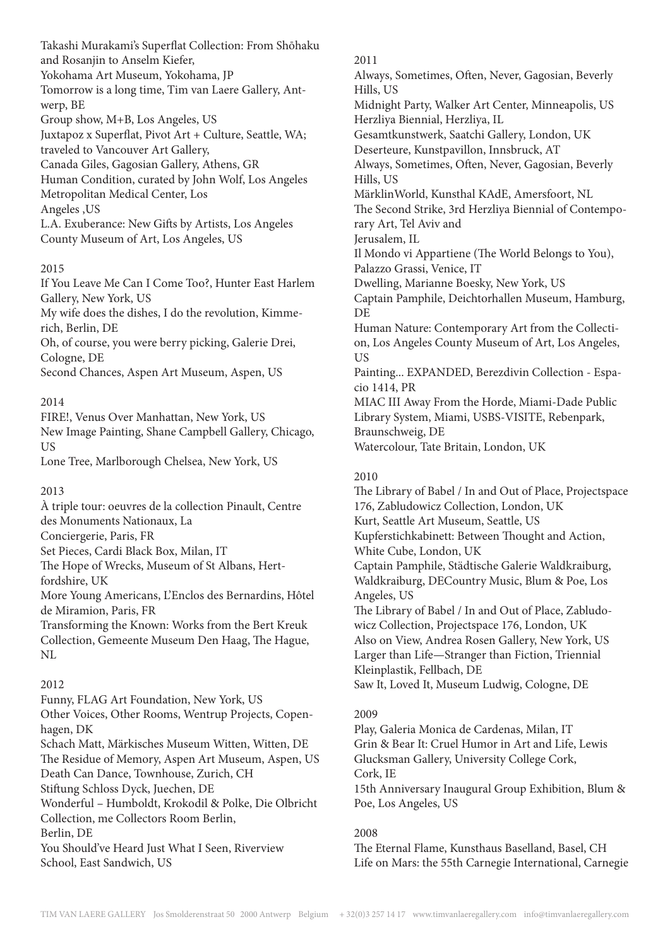Takashi Murakami's Superflat Collection: From Shōhaku and Rosanjin to Anselm Kiefer, Yokohama Art Museum, Yokohama, JP Tomorrow is a long time, Tim van Laere Gallery, Antwerp, BE Group show, M+B, Los Angeles, US Juxtapoz x Superflat, Pivot Art + Culture, Seattle, WA; traveled to Vancouver Art Gallery, Canada Giles, Gagosian Gallery, Athens, GR Human Condition, curated by John Wolf, Los Angeles Metropolitan Medical Center, Los Angeles ,US L.A. Exuberance: New Gifts by Artists, Los Angeles County Museum of Art, Los Angeles, US

#### 2015

If You Leave Me Can I Come Too?, Hunter East Harlem Gallery, New York, US My wife does the dishes, I do the revolution, Kimmerich, Berlin, DE

Oh, of course, you were berry picking, Galerie Drei, Cologne, DE

Second Chances, Aspen Art Museum, Aspen, US

# 2014

FIRE!, Venus Over Manhattan, New York, US New Image Painting, Shane Campbell Gallery, Chicago, US

Lone Tree, Marlborough Chelsea, New York, US

#### 2013

À triple tour: oeuvres de la collection Pinault, Centre des Monuments Nationaux, La Conciergerie, Paris, FR

Set Pieces, Cardi Black Box, Milan, IT

The Hope of Wrecks, Museum of St Albans, Hertfordshire, UK

More Young Americans, L'Enclos des Bernardins, Hôtel de Miramion, Paris, FR

Transforming the Known: Works from the Bert Kreuk Collection, Gemeente Museum Den Haag, The Hague, NL

# 2012

Funny, FLAG Art Foundation, New York, US

Other Voices, Other Rooms, Wentrup Projects, Copenhagen, DK

Schach Matt, Märkisches Museum Witten, Witten, DE The Residue of Memory, Aspen Art Museum, Aspen, US

Death Can Dance, Townhouse, Zurich, CH

Stiftung Schloss Dyck, Juechen, DE

Wonderful – Humboldt, Krokodil & Polke, Die Olbricht Collection, me Collectors Room Berlin,

Berlin, DE

You Should've Heard Just What I Seen, Riverview School, East Sandwich, US

2011 Always, Sometimes, Often, Never, Gagosian, Beverly Hills, US Midnight Party, Walker Art Center, Minneapolis, US Herzliya Biennial, Herzliya, IL Gesamtkunstwerk, Saatchi Gallery, London, UK Deserteure, Kunstpavillon, Innsbruck, AT Always, Sometimes, Often, Never, Gagosian, Beverly Hills, US MärklinWorld, Kunsthal KAdE, Amersfoort, NL The Second Strike, 3rd Herzliya Biennial of Contemporary Art, Tel Aviv and Jerusalem, IL Il Mondo vi Appartiene (The World Belongs to You), Palazzo Grassi, Venice, IT Dwelling, Marianne Boesky, New York, US Captain Pamphile, Deichtorhallen Museum, Hamburg, DE Human Nature: Contemporary Art from the Collection, Los Angeles County Museum of Art, Los Angeles, US Painting... EXPANDED, Berezdivin Collection - Espacio 1414, PR MIAC III Away From the Horde, Miami-Dade Public Library System, Miami, USBS-VISITE, Rebenpark, Braunschweig, DE Watercolour, Tate Britain, London, UK

## 2010

The Library of Babel / In and Out of Place, Projectspace 176, Zabludowicz Collection, London, UK Kurt, Seattle Art Museum, Seattle, US Kupferstichkabinett: Between Thought and Action, White Cube, London, UK Captain Pamphile, Städtische Galerie Waldkraiburg, Waldkraiburg, DECountry Music, Blum & Poe, Los Angeles, US The Library of Babel / In and Out of Place, Zabludowicz Collection, Projectspace 176, London, UK Also on View, Andrea Rosen Gallery, New York, US Larger than Life—Stranger than Fiction, Triennial Kleinplastik, Fellbach, DE

Saw It, Loved It, Museum Ludwig, Cologne, DE

# 2009

Play, Galeria Monica de Cardenas, Milan, IT Grin & Bear It: Cruel Humor in Art and Life, Lewis Glucksman Gallery, University College Cork, Cork, IE 15th Anniversary Inaugural Group Exhibition, Blum &

Poe, Los Angeles, US

# 2008

The Eternal Flame, Kunsthaus Baselland, Basel, CH Life on Mars: the 55th Carnegie International, Carnegie